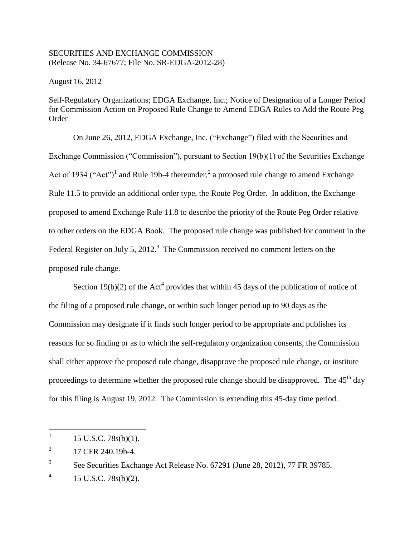## SECURITIES AND EXCHANGE COMMISSION (Release No. 34-67677; File No. SR-EDGA-2012-28)

August 16, 2012

Self-Regulatory Organizations; EDGA Exchange, Inc.; Notice of Designation of a Longer Period for Commission Action on Proposed Rule Change to Amend EDGA Rules to Add the Route Peg Order

On June 26, 2012, EDGA Exchange, Inc. ("Exchange") filed with the Securities and Exchange Commission ("Commission"), pursuant to Section 19(b)(1) of the Securities Exchange Act of 1934 ("Act")<sup>1</sup> and Rule 19b-4 thereunder,<sup>2</sup> a proposed rule change to amend Exchange Rule 11.5 to provide an additional order type, the Route Peg Order. In addition, the Exchange proposed to amend Exchange Rule 11.8 to describe the priority of the Route Peg Order relative to other orders on the EDGA Book. The proposed rule change was published for comment in the Federal Register on July 5, 2012.<sup>3</sup> The Commission received no comment letters on the proposed rule change.

Section 19(b)(2) of the Act<sup>4</sup> provides that within 45 days of the publication of notice of the filing of a proposed rule change, or within such longer period up to 90 days as the Commission may designate if it finds such longer period to be appropriate and publishes its reasons for so finding or as to which the self-regulatory organization consents, the Commission shall either approve the proposed rule change, disapprove the proposed rule change, or institute proceedings to determine whether the proposed rule change should be disapproved. The  $45<sup>th</sup>$  day for this filing is August 19, 2012. The Commission is extending this 45-day time period.

 $\frac{1}{1}$ 15 U.S.C. 78s(b)(1).

<sup>2</sup> 17 CFR 240.19b-4.

<sup>3</sup> See Securities Exchange Act Release No. 67291 (June 28, 2012), 77 FR 39785.

<sup>4</sup> 15 U.S.C. 78s(b)(2).